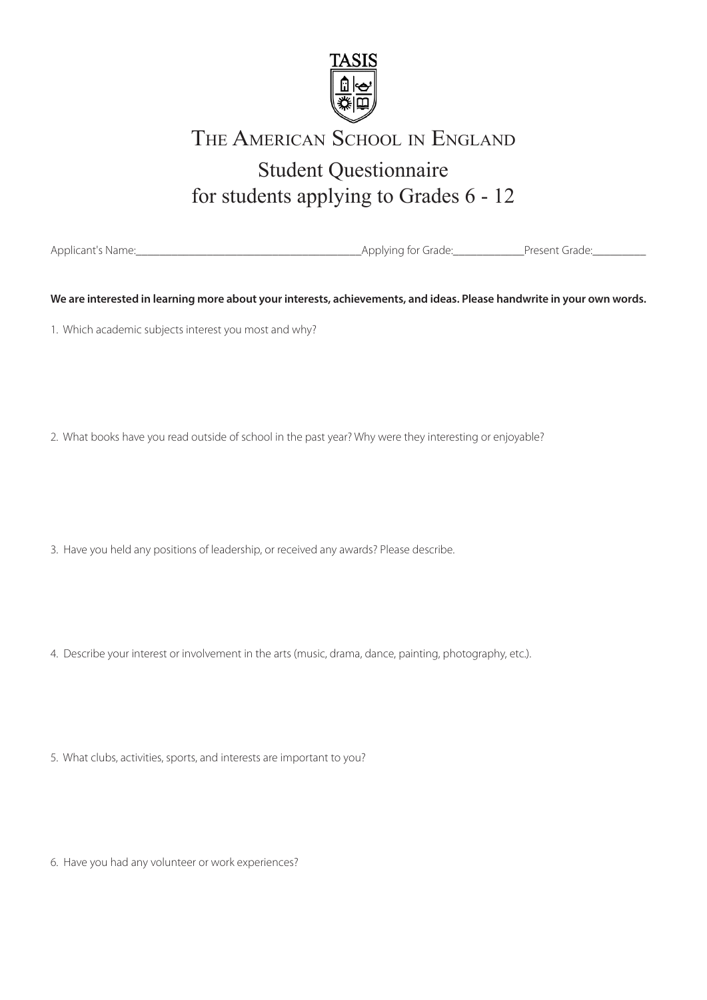

# Student Questionnaire for students applying to Grades 6 - 12 THE AMERICAN SCHOOL IN ENGLAND

Applicant's Name:\_\_\_\_\_\_\_\_\_\_\_\_\_\_\_\_\_\_\_\_\_\_\_\_\_\_\_\_\_\_\_\_\_\_\_\_\_\_Applying for Grade:\_\_\_\_\_\_\_\_\_\_\_\_Present Grade:\_\_\_\_\_\_\_\_\_

**We are interested in learning more about your interests, achievements, and ideas. Please handwrite in your own words.** 

1. Which academic subjects interest you most and why?

2. What books have you read outside of school in the past year? Why were they interesting or enjoyable?

3. Have you held any positions of leadership, or received any awards? Please describe.

4. Describe your interest or involvement in the arts (music, drama, dance, painting, photography, etc.).

5. What clubs, activities, sports, and interests are important to you?

6. Have you had any volunteer or work experiences?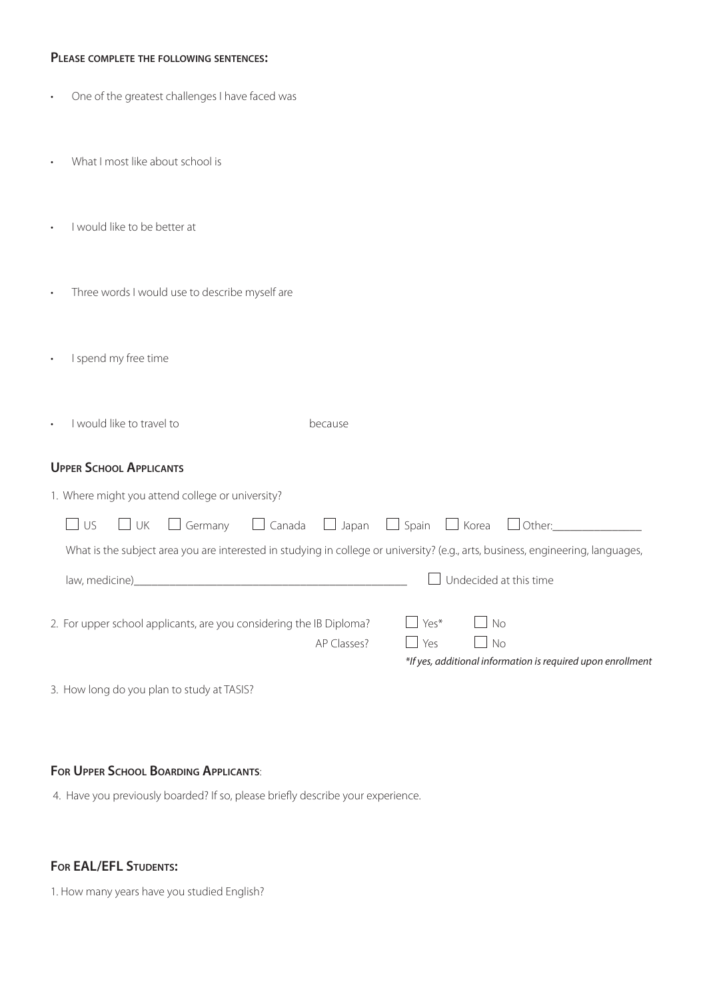### **Please complete the following sentences:**

| One of the greatest challenges I have faced was |  |  |  |  |  |
|-------------------------------------------------|--|--|--|--|--|
|-------------------------------------------------|--|--|--|--|--|

- What I most like about school is
- I would like to be better at
- Three words I would use to describe myself are
- I spend my free time
- I would like to travel to because

## **Upper School Applicants**

|                                                                                                                                  |                | 1. Where might you attend college or university?                    |  |             |         |           |                                                                                             |  |
|----------------------------------------------------------------------------------------------------------------------------------|----------------|---------------------------------------------------------------------|--|-------------|---------|-----------|---------------------------------------------------------------------------------------------|--|
| $\Box$ US                                                                                                                        |                |                                                                     |  |             |         |           | $\Box$ UK $\Box$ Germany $\Box$ Canada $\Box$ Japan $\Box$ Spain $\Box$ Korea $\Box$ Other: |  |
| What is the subject area you are interested in studying in college or university? (e.g., arts, business, engineering, languages, |                |                                                                     |  |             |         |           |                                                                                             |  |
|                                                                                                                                  | law, medicine) |                                                                     |  |             |         |           | Undecided at this time                                                                      |  |
|                                                                                                                                  |                | 2. For upper school applicants, are you considering the IB Diploma? |  |             | $Yes^*$ | $\Box$ No |                                                                                             |  |
|                                                                                                                                  |                |                                                                     |  | AP Classes? | l Yes   | $\Box$ No |                                                                                             |  |
|                                                                                                                                  |                |                                                                     |  |             |         |           | *If yes, additional information is required upon enrollment                                 |  |

3. How long do you plan to study at TASIS?

## **For Upper School Boarding Applicants**:

4. Have you previously boarded? If so, please briefly describe your experience.

# **For EAL/EFL Students:**

1. How many years have you studied English?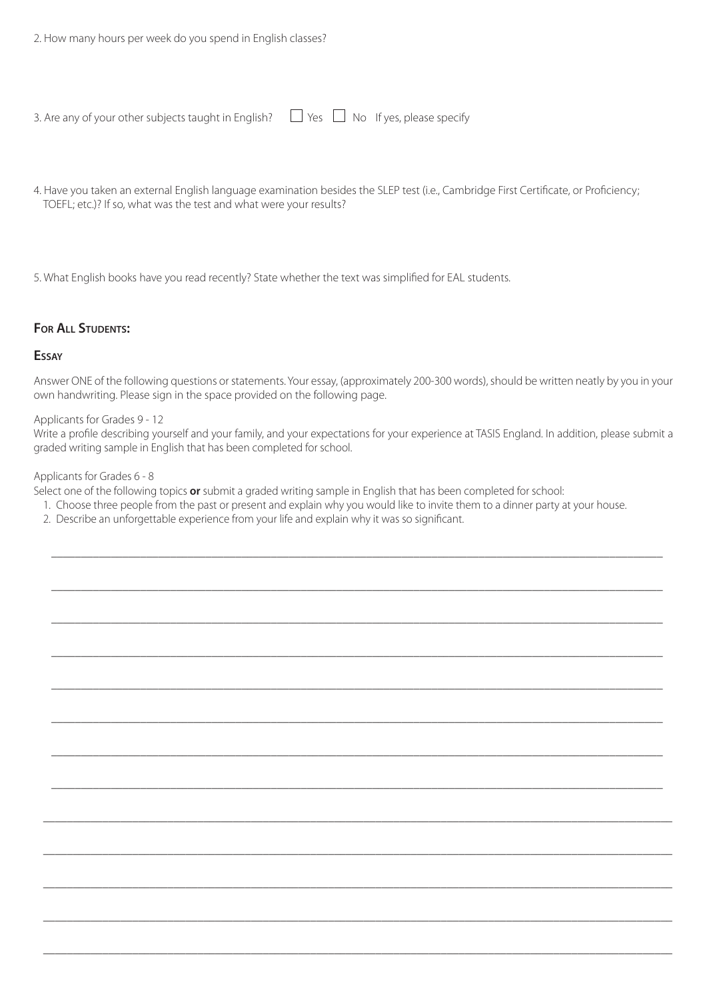| 3. Are any of your other subjects taught in English? $\Box$ Yes $\Box$ No If yes, please specify |  |  |  |
|--------------------------------------------------------------------------------------------------|--|--|--|
|--------------------------------------------------------------------------------------------------|--|--|--|

4. Have you taken an external English language examination besides the SLEP test (i.e., Cambridge First Certificate, or Proficiency; TOEFL; etc.)? If so, what was the test and what were your results?

5. What English books have you read recently? State whether the text was simplified for EAL students.

### **For All Students:**

#### **Essay**

Answer ONE of the following questions or statements. Your essay, (approximately 200-300 words), should be written neatly by you in your own handwriting. Please sign in the space provided on the following page.

### Applicants for Grades 9 - 12

Write a profile describing yourself and your family, and your expectations for your experience at TASIS England. In addition, please submit a graded writing sample in English that has been completed for school.

\_\_\_\_\_\_\_\_\_\_\_\_\_\_\_\_\_\_\_\_\_\_\_\_\_\_\_\_\_\_\_\_\_\_\_\_\_\_\_\_\_\_\_\_\_\_\_\_\_\_\_\_\_\_\_\_\_\_\_\_\_\_\_\_\_\_\_\_\_\_\_\_\_\_\_\_\_\_\_\_\_\_\_\_\_\_\_\_\_\_\_\_\_\_\_\_\_\_\_\_\_\_\_

\_\_\_\_\_\_\_\_\_\_\_\_\_\_\_\_\_\_\_\_\_\_\_\_\_\_\_\_\_\_\_\_\_\_\_\_\_\_\_\_\_\_\_\_\_\_\_\_\_\_\_\_\_\_\_\_\_\_\_\_\_\_\_\_\_\_\_\_\_\_\_\_\_\_\_\_\_\_\_\_\_\_\_\_\_\_\_\_\_\_\_\_\_\_\_\_\_\_\_\_\_\_\_

\_\_\_\_\_\_\_\_\_\_\_\_\_\_\_\_\_\_\_\_\_\_\_\_\_\_\_\_\_\_\_\_\_\_\_\_\_\_\_\_\_\_\_\_\_\_\_\_\_\_\_\_\_\_\_\_\_\_\_\_\_\_\_\_\_\_\_\_\_\_\_\_\_\_\_\_\_\_\_\_\_\_\_\_\_\_\_\_\_\_\_\_\_\_\_\_\_\_\_\_\_\_\_

\_\_\_\_\_\_\_\_\_\_\_\_\_\_\_\_\_\_\_\_\_\_\_\_\_\_\_\_\_\_\_\_\_\_\_\_\_\_\_\_\_\_\_\_\_\_\_\_\_\_\_\_\_\_\_\_\_\_\_\_\_\_\_\_\_\_\_\_\_\_\_\_\_\_\_\_\_\_\_\_\_\_\_\_\_\_\_\_\_\_\_\_\_\_\_\_\_\_\_\_\_\_\_

\_\_\_\_\_\_\_\_\_\_\_\_\_\_\_\_\_\_\_\_\_\_\_\_\_\_\_\_\_\_\_\_\_\_\_\_\_\_\_\_\_\_\_\_\_\_\_\_\_\_\_\_\_\_\_\_\_\_\_\_\_\_\_\_\_\_\_\_\_\_\_\_\_\_\_\_\_\_\_\_\_\_\_\_\_\_\_\_\_\_\_\_\_\_\_\_\_\_\_\_\_\_\_

\_\_\_\_\_\_\_\_\_\_\_\_\_\_\_\_\_\_\_\_\_\_\_\_\_\_\_\_\_\_\_\_\_\_\_\_\_\_\_\_\_\_\_\_\_\_\_\_\_\_\_\_\_\_\_\_\_\_\_\_\_\_\_\_\_\_\_\_\_\_\_\_\_\_\_\_\_\_\_\_\_\_\_\_\_\_\_\_\_\_\_\_\_\_\_\_\_\_\_\_\_\_\_

\_\_\_\_\_\_\_\_\_\_\_\_\_\_\_\_\_\_\_\_\_\_\_\_\_\_\_\_\_\_\_\_\_\_\_\_\_\_\_\_\_\_\_\_\_\_\_\_\_\_\_\_\_\_\_\_\_\_\_\_\_\_\_\_\_\_\_\_\_\_\_\_\_\_\_\_\_\_\_\_\_\_\_\_\_\_\_\_\_\_\_\_\_\_\_\_\_\_\_\_\_\_\_

\_\_\_\_\_\_\_\_\_\_\_\_\_\_\_\_\_\_\_\_\_\_\_\_\_\_\_\_\_\_\_\_\_\_\_\_\_\_\_\_\_\_\_\_\_\_\_\_\_\_\_\_\_\_\_\_\_\_\_\_\_\_\_\_\_\_\_\_\_\_\_\_\_\_\_\_\_\_\_\_\_\_\_\_\_\_\_\_\_\_\_\_\_\_\_\_\_\_\_\_\_\_\_

\_\_\_\_\_\_\_\_\_\_\_\_\_\_\_\_\_\_\_\_\_\_\_\_\_\_\_\_\_\_\_\_\_\_\_\_\_\_\_\_\_\_\_\_\_\_\_\_\_\_\_\_\_\_\_\_\_\_\_\_\_\_\_\_\_\_\_\_\_\_\_\_\_\_\_\_\_\_\_\_\_\_\_\_\_\_\_\_\_\_\_\_\_\_\_\_\_\_\_\_\_\_\_\_\_\_

\_\_\_\_\_\_\_\_\_\_\_\_\_\_\_\_\_\_\_\_\_\_\_\_\_\_\_\_\_\_\_\_\_\_\_\_\_\_\_\_\_\_\_\_\_\_\_\_\_\_\_\_\_\_\_\_\_\_\_\_\_\_\_\_\_\_\_\_\_\_\_\_\_\_\_\_\_\_\_\_\_\_\_\_\_\_\_\_\_\_\_\_\_\_\_\_\_\_\_\_\_\_\_\_\_\_

\_\_\_\_\_\_\_\_\_\_\_\_\_\_\_\_\_\_\_\_\_\_\_\_\_\_\_\_\_\_\_\_\_\_\_\_\_\_\_\_\_\_\_\_\_\_\_\_\_\_\_\_\_\_\_\_\_\_\_\_\_\_\_\_\_\_\_\_\_\_\_\_\_\_\_\_\_\_\_\_\_\_\_\_\_\_\_\_\_\_\_\_\_\_\_\_\_\_\_\_\_\_\_\_\_\_

\_\_\_\_\_\_\_\_\_\_\_\_\_\_\_\_\_\_\_\_\_\_\_\_\_\_\_\_\_\_\_\_\_\_\_\_\_\_\_\_\_\_\_\_\_\_\_\_\_\_\_\_\_\_\_\_\_\_\_\_\_\_\_\_\_\_\_\_\_\_\_\_\_\_\_\_\_\_\_\_\_\_\_\_\_\_\_\_\_\_\_\_\_\_\_\_\_\_\_\_\_\_\_\_\_\_

\_\_\_\_\_\_\_\_\_\_\_\_\_\_\_\_\_\_\_\_\_\_\_\_\_\_\_\_\_\_\_\_\_\_\_\_\_\_\_\_\_\_\_\_\_\_\_\_\_\_\_\_\_\_\_\_\_\_\_\_\_\_\_\_\_\_\_\_\_\_\_\_\_\_\_\_\_\_\_\_\_\_\_\_\_\_\_\_\_\_\_\_\_\_\_\_\_\_\_\_\_\_\_\_\_\_

#### Applicants for Grades 6 - 8

Select one of the following topics **or** submit a graded writing sample in English that has been completed for school:

- 1. Choose three people from the past or present and explain why you would like to invite them to a dinner party at your house.
- 2. Describe an unforgettable experience from your life and explain why it was so significant.